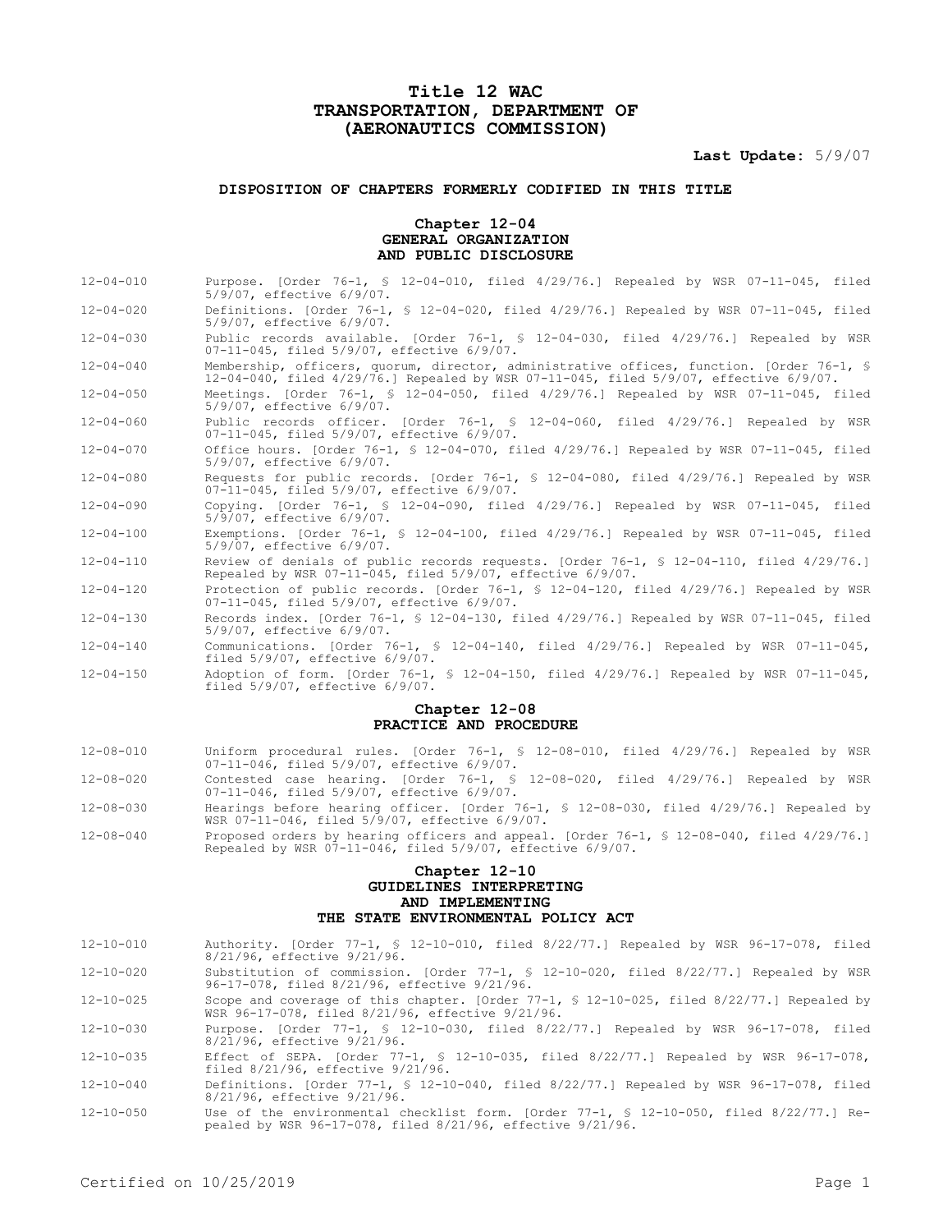# **Title 12 WAC TRANSPORTATION, DEPARTMENT OF (AERONAUTICS COMMISSION)**

**Last Update:** 5/9/07

## **DISPOSITION OF CHAPTERS FORMERLY CODIFIED IN THIS TITLE**

### **Chapter 12-04 GENERAL ORGANIZATION AND PUBLIC DISCLOSURE**

12-04-010 Purpose. [Order 76-1, § 12-04-010, filed 4/29/76.] Repealed by WSR 07-11-045, filed

|                 | 5/9/07, effective 6/9/07.                                                                                                                                                         |
|-----------------|-----------------------------------------------------------------------------------------------------------------------------------------------------------------------------------|
| $12 - 04 - 020$ | Definitions. [Order 76-1, § 12-04-020, filed 4/29/76.] Repealed by WSR 07-11-045, filed<br>5/9/07, effective 6/9/07.                                                              |
| $12 - 04 - 030$ | Public records available. [Order 76-1, § 12-04-030, filed 4/29/76.] Repealed by WSR<br>07-11-045, filed 5/9/07, effective 6/9/07.                                                 |
| $12 - 04 - 040$ | Membership, officers, quorum, director, administrative offices, function. [Order 76-1, §<br>12-04-040, filed 4/29/76.] Repealed by WSR 07-11-045, filed 5/9/07, effective 6/9/07. |
| $12 - 04 - 050$ | Meetings. $[Order 76-1, $ 12-04-050, filed 4/29/76.] Repeated by WSR 07-11-045, filed$<br>5/9/07, effective 6/9/07.                                                               |
| $12 - 04 - 060$ | Public records officer. [Order 76-1, § 12-04-060, filed 4/29/76.] Repealed by WSR<br>07-11-045, filed 5/9/07, effective 6/9/07.                                                   |
| $12 - 04 - 070$ | Office hours. [Order 76-1, § 12-04-070, filed 4/29/76.] Repealed by WSR 07-11-045, filed<br>5/9/07, effective 6/9/07.                                                             |
| $12 - 04 - 080$ | Requests for public records. [Order 76-1, § 12-04-080, filed 4/29/76.] Repealed by WSR<br>07-11-045, filed 5/9/07, effective 6/9/07.                                              |
| $12 - 04 - 090$ | Copying. [Order 76-1, § 12-04-090, filed 4/29/76.] Repealed by WSR 07-11-045, filed<br>5/9/07, effective 6/9/07.                                                                  |
| $12 - 04 - 100$ | Exemptions. [Order 76-1, § 12-04-100, filed 4/29/76.] Repealed by WSR 07-11-045, filed<br>5/9/07, effective 6/9/07.                                                               |
| $12 - 04 - 110$ | Review of denials of public records requests. [Order 76-1, § 12-04-110, filed 4/29/76.]<br>Repealed by WSR 07-11-045, filed 5/9/07, effective 6/9/07.                             |
| $12 - 04 - 120$ | Protection of public records. [Order 76-1, § 12-04-120, filed 4/29/76.] Repealed by WSR<br>07-11-045, filed 5/9/07, effective 6/9/07.                                             |
| $12 - 04 - 130$ | Records index. [Order 76-1, § 12-04-130, filed 4/29/76.] Repealed by WSR 07-11-045, filed<br>5/9/07, effective 6/9/07.                                                            |
| $12 - 04 - 140$ | Communications. [Order 76-1, § 12-04-140, filed 4/29/76.] Repealed by WSR 07-11-045,<br>filed $5/9/07$ , effective $6/9/07$ .                                                     |
| $12 - 04 - 150$ | Adoption of form. [Order 76-1, § 12-04-150, filed $4/29/76$ .] Repealed by WSR 07-11-045,<br>filed $5/9/07$ , effective $6/9/07$ .                                                |
|                 | Chapter 12-08                                                                                                                                                                     |
|                 | PRACTICE AND PROCEDURE                                                                                                                                                            |
| $12 - 08 - 010$ | Uniform procedural rules. [Order 76-1, § 12-08-010, filed 4/29/76.] Repealed by WSR<br>07-11-046, filed 5/9/07, effective 6/9/07.                                                 |
| $12 - 08 - 020$ | Contested case hearing. [Order 76-1, § 12-08-020, filed 4/29/76.] Repealed by WSR<br>07-11-046, filed 5/9/07, effective 6/9/07.                                                   |
| $12 - 08 - 030$ | Hearings before hearing officer. [Order 76-1, § 12-08-030, filed 4/29/76.] Repealed by<br>WSR 07-11-046, filed 5/9/07, effective 6/9/07.                                          |

12-08-040 Proposed orders by hearing officers and appeal. [Order 76-1, § 12-08-040, filed 4/29/76.] Repealed by WSR 07-11-046, filed 5/9/07, effective 6/9/07.

## **Chapter 12-10 GUIDELINES INTERPRETING AND IMPLEMENTING THE STATE ENVIRONMENTAL POLICY ACT**

| $12 - 10 - 010$ |                             |  | Authority. [Order 77-1, § 12-10-010, filed 8/22/77.] Repealed by WSR 96-17-078, filed |  |  |  |  |
|-----------------|-----------------------------|--|---------------------------------------------------------------------------------------|--|--|--|--|
|                 | 8/21/96, effective 9/21/96. |  |                                                                                       |  |  |  |  |

12-10-020 Substitution of commission. [Order 77-1, § 12-10-020, filed 8/22/77.] Repealed by WSR 96-17-078, filed 8/21/96, effective 9/21/96.

12-10-025 Scope and coverage of this chapter. [Order 77-1, § 12-10-025, filed 8/22/77.] Repealed by WSR 96-17-078, filed 8/21/96, effective 9/21/96.

12-10-030 Purpose. [Order 77-1, § 12-10-030, filed 8/22/77.] Repealed by WSR 96-17-078, filed 8/21/96, effective 9/21/96.

12-10-035 Effect of SEPA. [Order 77-1, § 12-10-035, filed 8/22/77.] Repealed by WSR 96-17-078, filed 8/21/96, effective 9/21/96.

12-10-040 Definitions. [Order 77-1, § 12-10-040, filed 8/22/77.] Repealed by WSR 96-17-078, filed 8/21/96, effective 9/21/96.

12-10-050 Use of the environmental checklist form. [Order 77-1, § 12-10-050, filed 8/22/77.] Re-pealed by WSR 96-17-078, filed 8/21/96, effective 9/21/96.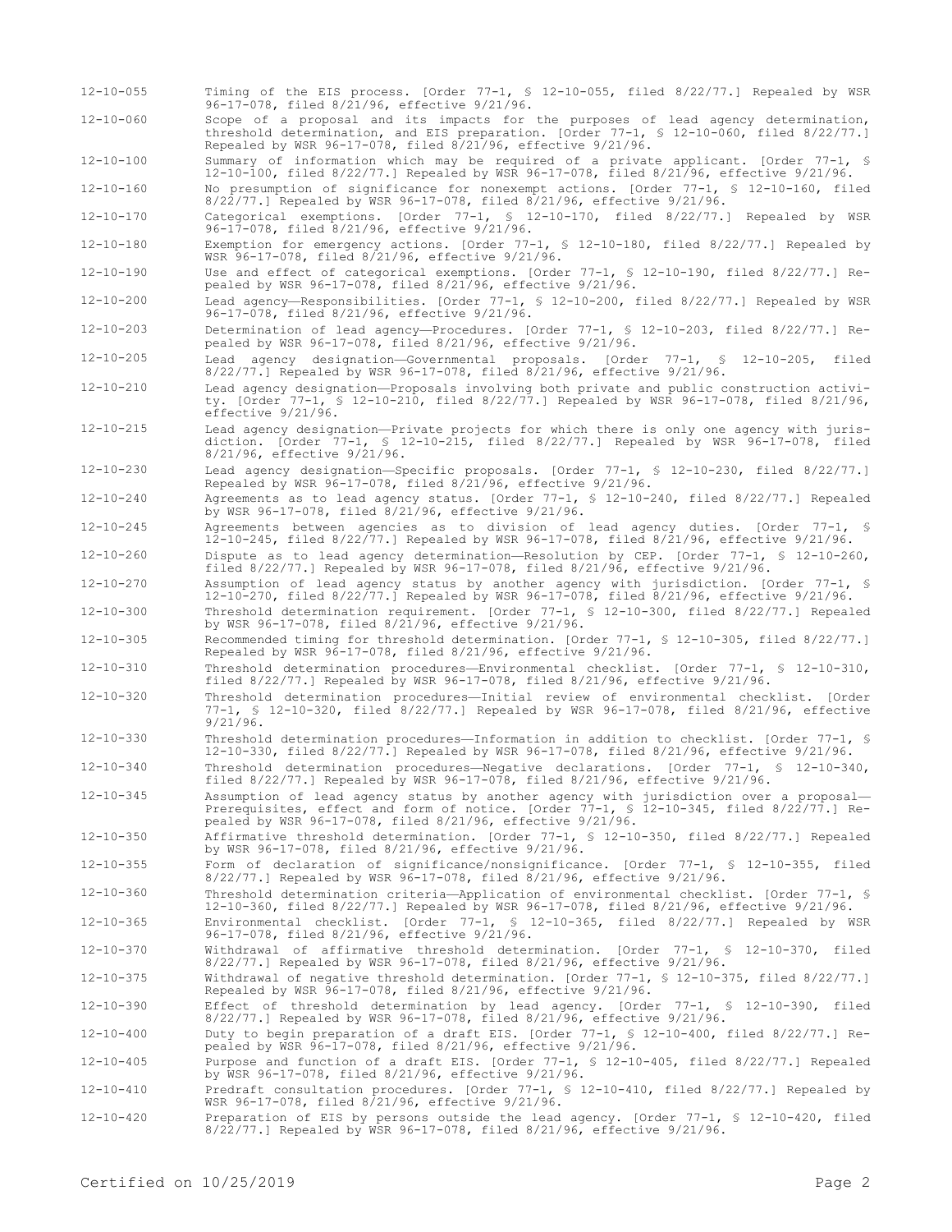12-10-055 Timing of the EIS process. [Order 77-1, § 12-10-055, filed 8/22/77.] Repealed by WSR 96-17-078, filed 8/21/96, effective 9/21/96. 12-10-060 Scope of a proposal and its impacts for the purposes of lead agency determination, threshold determination, and EIS preparation. [Order 77-1, § 12-10-060, filed 8/22/77.]

Repealed by WSR 96-17-078, filed 8/21/96, effective 9/21/96. 12-10-100 Summary of information which may be required of a private applicant. [Order 77-1, § 12-10-100, filed 8/22/77.] Repealed by WSR 96-17-078, filed 8/21/96, effective 9/21/96.

12-10-160 No presumption of significance for nonexempt actions. [Order 77-1, § 12-10-160, filed 8/22/77.] Repealed by WSR 96-17-078, filed 8/21/96, effective 9/21/96.

12-10-170 Categorical exemptions. [Order 77-1, § 12-10-170, filed 8/22/77.] Repealed by WSR 96-17-078, filed 8/21/96, effective 9/21/96.

12-10-180 Exemption for emergency actions. [Order 77-1, § 12-10-180, filed 8/22/77.] Repealed by WSR 96-17-078, filed 8/21/96, effective 9/21/96.

12-10-190 Use and effect of categorical exemptions. [Order 77-1, § 12-10-190, filed 8/22/77.] Repealed by WSR 96-17-078, filed 8/21/96, effective 9/21/96.

12-10-200 Lead agency—Responsibilities. [Order 77-1, § 12-10-200, filed 8/22/77.] Repealed by WSR 96-17-078, filed 8/21/96, effective 9/21/96.

12-10-203 Determination of lead agency—Procedures. [Order 77-1, § 12-10-203, filed 8/22/77.] Repealed by WSR 96-17-078, filed 8/21/96, effective 9/21/96.

12-10-205 Lead agency designation—Governmental proposals. [Order 77-1, § 12-10-205, filed 8/22/77.] Repealed by WSR 96-17-078, filed 8/21/96, effective 9/21/96.

12-10-210 Lead agency designation—Proposals involving both private and public construction activity. [Order 77-1, § 12-10-210, filed 8/22/77.] Repealed by WSR 96-17-078, filed 8/21/96, effective 9/21/96.

12-10-215 Lead agency designation—Private projects for which there is only one agency with jurisdiction. [Order 77-1, § 12-10-215, filed 8/22/77.] Repealed by WSR 96-17-078, filed 8/21/96, effective 9/21/96.

12-10-230 Lead agency designation—Specific proposals. [Order 77-1, § 12-10-230, filed 8/22/77.] Repealed by WSR 96-17-078, filed 8/21/96, effective 9/21/96.

12-10-240 Agreements as to lead agency status. [Order 77-1, § 12-10-240, filed 8/22/77.] Repealed by WSR 96-17-078, filed 8/21/96, effective 9/21/96.

12-10-245 Agreements between agencies as to division of lead agency duties. [Order 77-1, § 12-10-245, filed 8/22/77.] Repealed by WSR 96-17-078, filed 8/21/96, effective 9/21/96.

12-10-260 Dispute as to lead agency determination—Resolution by CEP. [Order 77-1, § 12-10-260, filed 8/22/77.] Repealed by WSR 96-17-078, filed 8/21/96, effective 9/21/96.

12-10-270 Assumption of lead agency status by another agency with jurisdiction. [Order 77-1, § 12-10-270, filed 8/22/77.] Repealed by WSR 96-17-078, filed 8/21/96, effective 9/21/96. 12-10-300 Threshold determination requirement. [Order 77-1, § 12-10-300, filed 8/22/77.] Repealed

by WSR 96-17-078, filed 8/21/96, effective 9/21/96.

12-10-305 Recommended timing for threshold determination. [Order 77-1, § 12-10-305, filed 8/22/77.] Repealed by WSR 96-17-078, filed 8/21/96, effective 9/21/96.

12-10-310 Threshold determination procedures—Environmental checklist. [Order 77-1, § 12-10-310, filed 8/22/77.] Repealed by WSR 96-17-078, filed 8/21/96, effective 9/21/96.

- 12-10-320 Threshold determination procedures—Initial review of environmental checklist. [Order 77-1, § 12-10-320, filed 8/22/77.] Repealed by WSR 96-17-078, filed 8/21/96, effective 9/21/96.
- 12-10-330 Threshold determination procedures—Information in addition to checklist. [Order 77-1, § 12-10-330, filed 8/22/77.] Repealed by WSR 96-17-078, filed 8/21/96, effective 9/21/96.
- 12-10-340 Threshold determination procedures—Negative declarations. [Order 77-1, § 12-10-340, filed 8/22/77.] Repealed by WSR 96-17-078, filed 8/21/96, effective 9/21/96.

12-10-345 Assumption of lead agency status by another agency with jurisdiction over a proposal— Prerequisites, effect and form of notice. [Order 77-1, § 12-10-345, filed 8/22/77.] Repealed by WSR 96-17-078, filed 8/21/96, effective 9/21/96.

12-10-350 Affirmative threshold determination. [Order 77-1, § 12-10-350, filed 8/22/77.] Repealed by WSR 96-17-078, filed 8/21/96, effective 9/21/96.

12-10-355 Form of declaration of significance/nonsignificance. [Order 77-1, § 12-10-355, filed 8/22/77.] Repealed by WSR 96-17-078, filed 8/21/96, effective 9/21/96.

12-10-360 Threshold determination criteria—Application of environmental checklist. [Order 77-1, § 12-10-360, filed 8/22/77.] Repealed by WSR 96-17-078, filed 8/21/96, effective 9/21/96.

12-10-365 Environmental checklist. [Order 77-1, § 12-10-365, filed 8/22/77.] Repealed by WSR 96-17-078, filed 8/21/96, effective 9/21/96.

12-10-370 Withdrawal of affirmative threshold determination. [Order 77-1, § 12-10-370, filed 8/22/77.] Repealed by WSR 96-17-078, filed 8/21/96, effective 9/21/96.

12-10-375 Withdrawal of negative threshold determination. [Order 77-1, § 12-10-375, filed 8/22/77.] Repealed by WSR 96-17-078, filed 8/21/96, effective 9/21/96.

12-10-390 Effect of threshold determination by lead agency. [Order 77-1, § 12-10-390, filed 8/22/77.] Repealed by WSR 96-17-078, filed 8/21/96, effective 9/21/96.

12-10-400 Duty to begin preparation of a draft EIS. [Order 77-1, § 12-10-400, filed 8/22/77.] Re-pealed by WSR 96-17-078, filed 8/21/96, effective 9/21/96.

12-10-405 Purpose and function of a draft EIS. [Order 77-1, § 12-10-405, filed 8/22/77.] Repealed by WSR 96-17-078, filed 8/21/96, effective 9/21/96.

12-10-410 Predraft consultation procedures. [Order 77-1, § 12-10-410, filed 8/22/77.] Repealed by WSR 96-17-078, filed 8/21/96, effective 9/21/96.

12-10-420 Preparation of EIS by persons outside the lead agency. [Order 77-1, § 12-10-420, filed 8/22/77.] Repealed by WSR 96-17-078, filed 8/21/96, effective 9/21/96.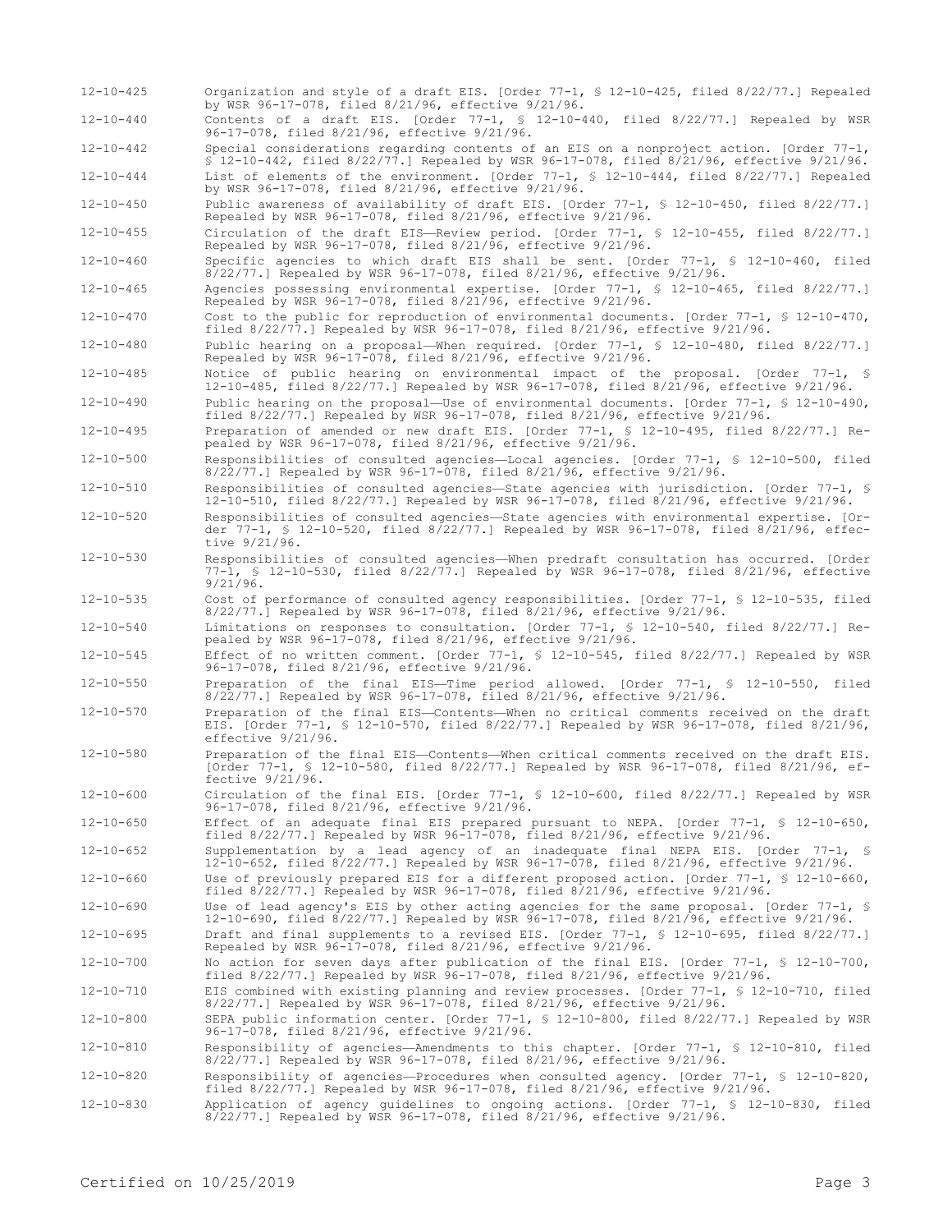by WSR 96-17-078, filed 8/21/96, effective 9/21/96. 12-10-440 Contents of a draft EIS. [Order 77-1, § 12-10-440, filed 8/22/77.] Repealed by WSR 96-17-078, filed 8/21/96, effective 9/21/96. 12-10-442 Special considerations regarding contents of an EIS on a nonproject action. [Order 77-1, § 12-10-442, filed 8/22/77.] Repealed by WSR 96-17-078, filed 8/21/96, effective 9/21/96. 12-10-444 List of elements of the environment. [Order 77-1, § 12-10-444, filed 8/22/77.] Repealed by WSR 96-17-078, filed 8/21/96, effective 9/21/96. 12-10-450 Public awareness of availability of draft EIS. [Order 77-1, § 12-10-450, filed 8/22/77.] Repealed by WSR 96-17-078, filed 8/21/96, effective 9/21/96. 12-10-455 Circulation of the draft EIS—Review period. [Order 77-1, § 12-10-455, filed 8/22/77.] Repealed by WSR 96-17-078, filed 8/21/96, effective 9/21/96. 12-10-460 Specific agencies to which draft EIS shall be sent. [Order 77-1, § 12-10-460, filed 8/22/77.] Repealed by WSR 96-17-078, filed 8/21/96, effective 9/21/96. 12-10-465 Agencies possessing environmental expertise. [Order 77-1, § 12-10-465, filed 8/22/77.] Repealed by WSR 96-17-078, filed 8/21/96, effective 9/21/96. 12-10-470 Cost to the public for reproduction of environmental documents. [Order 77-1, § 12-10-470, filed 8/22/77.] Repealed by WSR 96-17-078, filed 8/21/96, effective 9/21/96. 12-10-480 Public hearing on a proposal—When required. [Order 77-1, § 12-10-480, filed 8/22/77.] Repealed by WSR 96-17-078, filed 8/21/96, effective 9/21/96. 12-10-485 Notice of public hearing on environmental impact of the proposal. [Order 77-1, § 12-10-485, filed 8/22/77.] Repealed by WSR 96-17-078, filed 8/21/96, effective 9/21/96. 12-10-490 Public hearing on the proposal—Use of environmental documents. [Order 77-1, § 12-10-490, filed 8/22/77.] Repealed by WSR 96-17-078, filed 8/21/96, effective 9/21/96. 12-10-495 Preparation of amended or new draft EIS. [Order 77-1, § 12-10-495, filed 8/22/77.] Repealed by WSR 96-17-078, filed 8/21/96, effective 9/21/96. 12-10-500 Responsibilities of consulted agencies—Local agencies. [Order 77-1, § 12-10-500, filed 8/22/77.] Repealed by WSR 96-17-078, filed 8/21/96, effective 9/21/96. 12-10-510 Responsibilities of consulted agencies—State agencies with jurisdiction. [Order 77-1, § 12-10-510, filed 8/22/77.] Repealed by WSR 96-17-078, filed 8/21/96, effective 9/21/96. 12-10-520 Responsibilities of consulted agencies—State agencies with environmental expertise. [Order 77-1, § 12-10-520, filed 8/22/77.] Repealed by WSR 96-17-078, filed 8/21/96, effective 9/21/96. 12-10-530 Responsibilities of consulted agencies—When predraft consultation has occurred. [Order 77-1, § 12-10-530, filed 8/22/77.] Repealed by WSR 96-17-078, filed 8/21/96, effective 9/21/96. 12-10-535 Cost of performance of consulted agency responsibilities. [Order 77-1, § 12-10-535, filed 8/22/77.] Repealed by WSR 96-17-078, filed 8/21/96, effective 9/21/96. 12-10-540 Limitations on responses to consultation. [Order 77-1, § 12-10-540, filed 8/22/77.] Repealed by WSR 96-17-078, filed 8/21/96, effective 9/21/96. 12-10-545 Effect of no written comment. [Order 77-1, § 12-10-545, filed 8/22/77.] Repealed by WSR 96-17-078, filed 8/21/96, effective 9/21/96. 12-10-550 Preparation of the final EIS—Time period allowed. [Order 77-1, § 12-10-550, filed 8/22/77.] Repealed by WSR 96-17-078, filed 8/21/96, effective 9/21/96. 12-10-570 Preparation of the final EIS—Contents—When no critical comments received on the draft EIS. [Order 77-1, § 12-10-570, filed 8/22/77.] Repealed by WSR 96-17-078, filed 8/21/96, effective 9/21/96. 12-10-580 Preparation of the final EIS—Contents—When critical comments received on the draft EIS. [Order 77-1, § 12-10-580, filed 8/22/77.] Repealed by WSR 96-17-078, filed 8/21/96, effective 9/21/96. 12-10-600 Circulation of the final EIS. [Order 77-1, § 12-10-600, filed 8/22/77.] Repealed by WSR 96-17-078, filed 8/21/96, effective 9/21/96. 12-10-650 Effect of an adequate final EIS prepared pursuant to NEPA. [Order 77-1, § 12-10-650, filed 8/22/77.] Repealed by WSR 96-17-078, filed 8/21/96, effective 9/21/96. 12-10-652 Supplementation by a lead agency of an inadequate final NEPA EIS. [Order 77-1, § 12-10-652, filed 8/22/77.] Repealed by WSR 96-17-078, filed 8/21/96, effective 9/21/96. 12-10-660 Use of previously prepared EIS for a different proposed action. [Order 77-1, § 12-10-660, filed 8/22/77.] Repealed by WSR 96-17-078, filed 8/21/96, effective 9/21/96. 12-10-690 Use of lead agency's EIS by other acting agencies for the same proposal. [Order 77-1, § 12-10-690, filed 8/22/77.] Repealed by WSR 96-17-078, filed 8/21/96, effective 9/21/96. 12-10-695 Draft and final supplements to a revised EIS. [Order 77-1, § 12-10-695, filed 8/22/77.] Repealed by WSR 96-17-078, filed 8/21/96, effective 9/21/96. 12-10-700 No action for seven days after publication of the final EIS. [Order 77-1, § 12-10-700, filed 8/22/77.] Repealed by WSR 96-17-078, filed 8/21/96, effective 9/21/96. 12-10-710 EIS combined with existing planning and review processes. [Order 77-1, § 12-10-710, filed 8/22/77.] Repealed by WSR 96-17-078, filed 8/21/96, effective 9/21/96. 12-10-800 SEPA public information center. [Order 77-1, § 12-10-800, filed 8/22/77.] Repealed by WSR 96-17-078, filed 8/21/96, effective 9/21/96. 12-10-810 Responsibility of agencies—Amendments to this chapter. [Order 77-1, § 12-10-810, filed 8/22/77.] Repealed by WSR 96-17-078, filed 8/21/96, effective 9/21/96. 12-10-820 Responsibility of agencies—Procedures when consulted agency. [Order 77-1, § 12-10-820, filed 8/22/77.] Repealed by WSR 96-17-078, filed 8/21/96, effective 9/21/96. 12-10-830 Application of agency guidelines to ongoing actions. [Order 77-1, § 12-10-830, filed 8/22/77.] Repealed by WSR 96-17-078, filed 8/21/96, effective 9/21/96.

12-10-425 Organization and style of a draft EIS. [Order 77-1, § 12-10-425, filed 8/22/77.] Repealed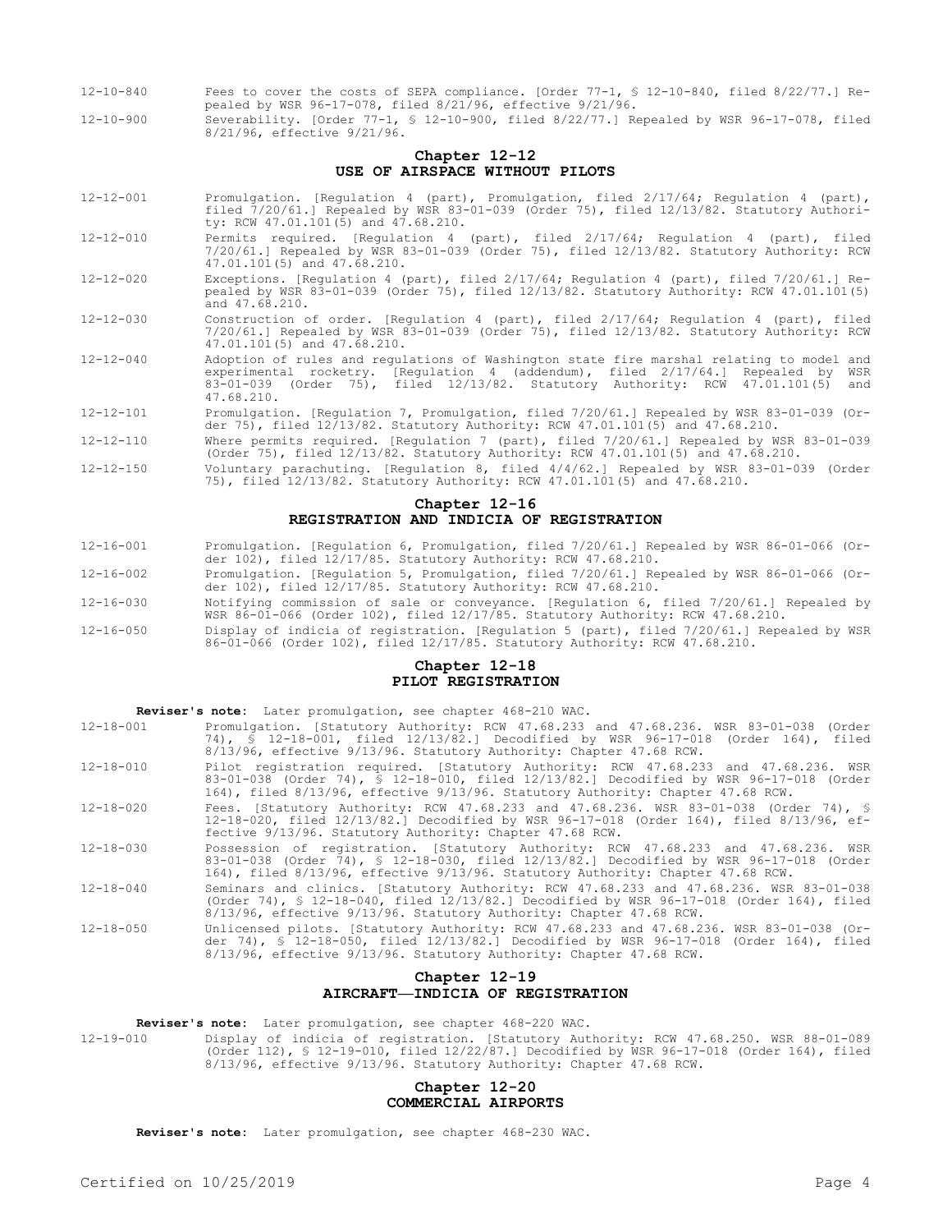- 12-10-840 Fees to cover the costs of SEPA compliance. [Order 77-1, § 12-10-840, filed 8/22/77.] Repealed by WSR 96-17-078, filed 8/21/96, effective 9/21/96.
- 12-10-900 Severability. [Order 77-1, § 12-10-900, filed 8/22/77.] Repealed by WSR 96-17-078, filed 8/21/96, effective 9/21/96.

## **Chapter 12-12 USE OF AIRSPACE WITHOUT PILOTS**

- 12-12-001 Promulgation. [Regulation 4 (part), Promulgation, filed 2/17/64; Regulation 4 (part), filed 7/20/61.] Repealed by WSR 83-01-039 (Order 75), filed 12/13/82. Statutory Authority: RCW 47.01.101(5) and 47.68.210.
- 12-12-010 Permits required. [Regulation 4 (part), filed 2/17/64; Regulation 4 (part), filed 7/20/61.] Repealed by WSR 83-01-039 (Order 75), filed 12/13/82. Statutory Authority: RCW 47.01.101(5) and 47.68.210.
- 12-12-020 Exceptions. [Regulation 4 (part), filed 2/17/64; Regulation 4 (part), filed 7/20/61.] Repealed by WSR 83-01-039 (Order 75), filed 12/13/82. Statutory Authority: RCW 47.01.101(5) and 47.68.210.
- 12-12-030 Construction of order. [Regulation 4 (part), filed 2/17/64; Regulation 4 (part), filed 7/20/61.] Repealed by WSR 83-01-039 (Order 75), filed 12/13/82. Statutory Authority: RCW 47.01.101(5) and 47.68.210.
- 12-12-040 Adoption of rules and regulations of Washington state fire marshal relating to model and experimental rocketry. [Regulation 4 (addendum), filed 2/17/64.] Repealed by WSR 83-01-039 (Order 75), filed 12/13/82. Statutory Authority: RCW 47.01.101(5) and 47.68.210.
- 12-12-101 Promulgation. [Regulation 7, Promulgation, filed 7/20/61.] Repealed by WSR 83-01-039 (Order 75), filed 12/13/82. Statutory Authority: RCW 47.01.101(5) and 47.68.210.
- 12-12-110 Where permits required. [Regulation 7 (part), filed 7/20/61.] Repealed by WSR 83-01-039 (Order 75), filed 12/13/82. Statutory Authority: RCW 47.01.101(5) and 47.68.210.
- 12-12-150 Voluntary parachuting. [Regulation 8, filed 4/4/62.] Repealed by WSR 83-01-039 (Order 75), filed 12/13/82. Statutory Authority: RCW 47.01.101(5) and 47.68.210.

### **Chapter 12-16 REGISTRATION AND INDICIA OF REGISTRATION**

- 12-16-001 Promulgation. [Regulation 6, Promulgation, filed 7/20/61.] Repealed by WSR 86-01-066 (Order 102), filed 12/17/85. Statutory Authority: RCW 47.68.210.
- 12-16-002 Promulgation. [Regulation 5, Promulgation, filed 7/20/61.] Repealed by WSR 86-01-066 (Order 102), filed 12/17/85. Statutory Authority: RCW 47.68.210.
- 12-16-030 Notifying commission of sale or conveyance. [Regulation 6, filed 7/20/61.] Repealed by WSR 86-01-066 (Order 102), filed 12/17/85. Statutory Authority: RCW 47.68.210.
- 12-16-050 Display of indicia of registration. [Regulation 5 (part), filed 7/20/61.] Repealed by WSR 86-01-066 (Order 102), filed 12/17/85. Statutory Authority: RCW 47.68.210.

## **Chapter 12-18 PILOT REGISTRATION**

| Reviser's note: Later promulgation, see chapter 468-210 WAC. |                                                                                                                                                                                                                                                                  |  |  |  |  |  |  |
|--------------------------------------------------------------|------------------------------------------------------------------------------------------------------------------------------------------------------------------------------------------------------------------------------------------------------------------|--|--|--|--|--|--|
| $12 - 18 - 001$                                              | Promulgation. [Statutory Authority: RCW 47.68.233 and 47.68.236. WSR 83-01-038 (Order<br>74), § 12-18-001, filed 12/13/82.1 Decodified by WSR 96-17-018 (Order 164), filed<br>8/13/96, effective 9/13/96. Statutory Authority: Chapter 47.68 RCW.                |  |  |  |  |  |  |
| $12 - 18 - 010$                                              | Pilot registration reguired. [Statutory Authority: RCW 47.68.233 and 47.68.236. WSR<br>83-01-038 (Order 74), § 12-18-010, filed 12/13/82.] Decodified by WSR 96-17-018 (Order<br>164), filed 8/13/96, effective 9/13/96. Statutory Authority: Chapter 47.68 RCW. |  |  |  |  |  |  |
| $12 - 18 - 020$                                              | Fees. [Statutory Authority: RCW 47.68.233 and 47.68.236. WSR 83-01-038 (Order 74), §<br>12-18-020, filed 12/13/82.] Decodified by WSR 96-17-018 (Order 164), filed 8/13/96, ef-<br>fective 9/13/96. Statutory Authority: Chapter 47.68 RCW.                      |  |  |  |  |  |  |
| $12 - 18 - 030$                                              | Possession of registration. [Statutory Authority: RCW 47.68.233 and 47.68.236. WSR<br>83-01-038 (Order 74), § 12-18-030, filed 12/13/82.] Decodified by WSR 96-17-018 (Order<br>164), filed 8/13/96, effective 9/13/96. Statutory Authority: Chapter 47.68 RCW.  |  |  |  |  |  |  |
| $12 - 18 - 040$                                              | Seminars and clinics. [Statutory Authority: RCW 47.68.233 and 47.68.236. WSR 83-01-038<br>(Order 74), § 12-18-040, filed 12/13/82.] Decodified by WSR 96-17-018 (Order 164), filed<br>8/13/96, effective 9/13/96. Statutory Authority: Chapter 47.68 RCW.        |  |  |  |  |  |  |
| $12 - 18 - 050$                                              | Unlicensed pilots. [Statutory Authority: RCW 47.68.233 and 47.68.236. WSR 83-01-038 (Or-<br>der 74), § 12-18-050, filed $12/13/82$ . Decodified by WSR 96-17-018 (Order 164), filed<br>8/13/96, effective 9/13/96. Statutory Authority: Chapter 47.68 RCW.       |  |  |  |  |  |  |

## **Chapter 12-19 AIRCRAFT—INDICIA OF REGISTRATION**

**Reviser's note:** Later promulgation, see chapter 468-220 WAC.

12-19-010 Display of indicia of registration. [Statutory Authority: RCW 47.68.250. WSR 88-01-089 (Order 112), § 12-19-010, filed 12/22/87.] Decodified by WSR 96-17-018 (Order 164), filed 8/13/96, effective 9/13/96. Statutory Authority: Chapter 47.68 RCW.

### **Chapter 12-20 COMMERCIAL AIRPORTS**

**Reviser's note:** Later promulgation, see chapter 468-230 WAC.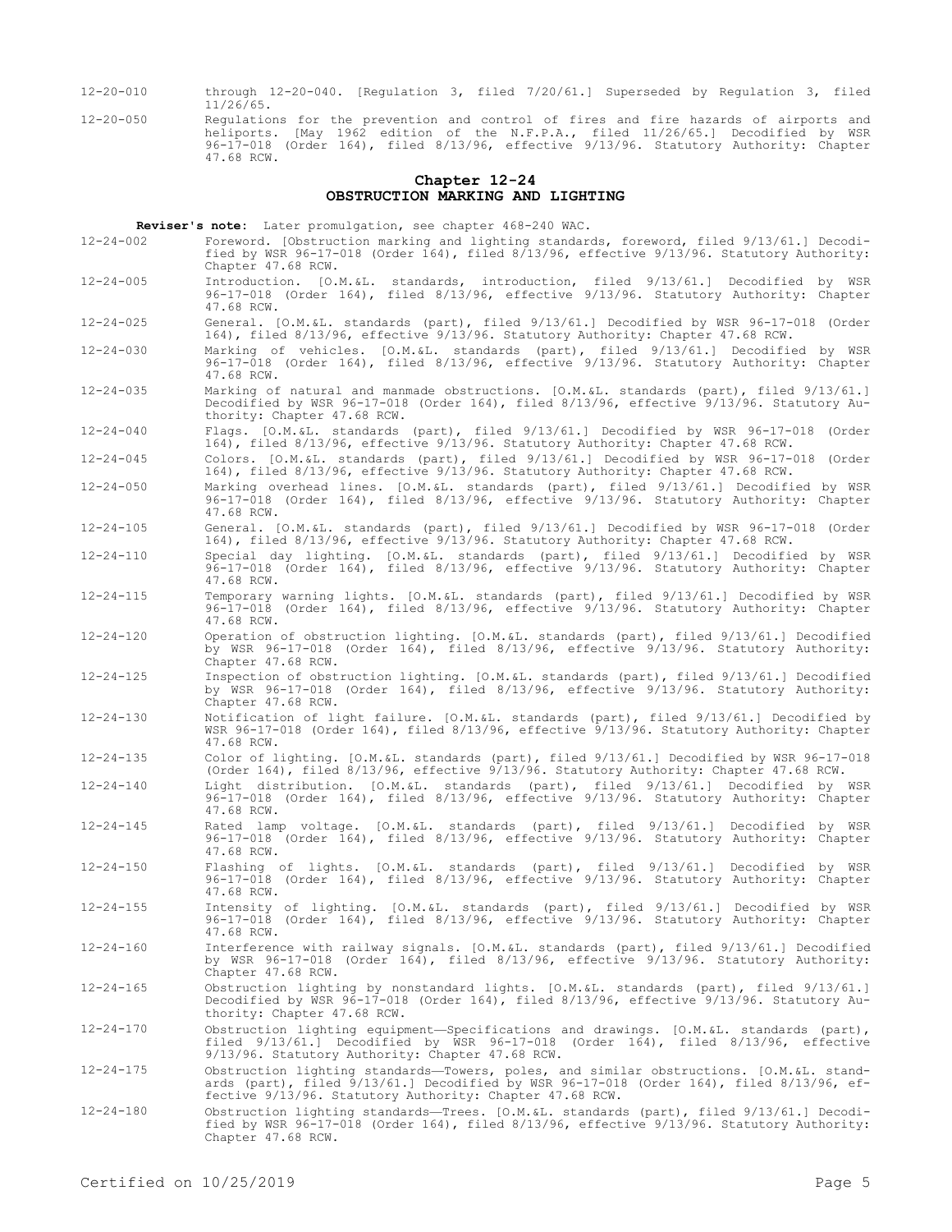- 12-20-010 through 12-20-040. [Regulation 3, filed 7/20/61.] Superseded by Regulation 3, filed 11/26/65.
- 12-20-050 Regulations for the prevention and control of fires and fire hazards of airports and heliports. [May 1962 edition of the N.F.P.A., filed 11/26/65.] Decodified by WSR 96-17-018 (Order 164), filed 8/13/96, effective 9/13/96. Statutory Authority: Chapter 47.68 RCW.

#### **Chapter 12-24 OBSTRUCTION MARKING AND LIGHTING**

**Reviser's note:** Later promulgation, see chapter 468-240 WAC.

- 12-24-002 Foreword. [Obstruction marking and lighting standards, foreword, filed 9/13/61.] Decodified by WSR 96-17-018 (Order 164), filed 8/13/96, effective 9/13/96. Statutory Authority: Chapter 47.68 RCW.
- 12-24-005 Introduction. [O.M.&L. standards, introduction, filed 9/13/61.] Decodified by WSR 96-17-018 (Order 164), filed 8/13/96, effective 9/13/96. Statutory Authority: Chapter 47.68 RCW.
- 12-24-025 General. [O.M.&L. standards (part), filed 9/13/61.] Decodified by WSR 96-17-018 (Order 164), filed 8/13/96, effective 9/13/96. Statutory Authority: Chapter 47.68 RCW.
- 12-24-030 Marking of vehicles. [O.M.&L. standards (part), filed 9/13/61.] Decodified by WSR 96-17-018 (Order 164), filed 8/13/96, effective 9/13/96. Statutory Authority: Chapter 47.68 RCW.
- 12-24-035 Marking of natural and manmade obstructions. [O.M.&L. standards (part), filed 9/13/61.] Decodified by WSR 96-17-018 (Order 164), filed 8/13/96, effective 9/13/96. Statutory Authority: Chapter 47.68 RCW.
- 12-24-040 Flags. [O.M.&L. standards (part), filed 9/13/61.] Decodified by WSR 96-17-018 (Order 164), filed 8/13/96, effective 9/13/96. Statutory Authority: Chapter 47.68 RCW.
- 12-24-045 Colors. [O.M.&L. standards (part), filed 9/13/61.] Decodified by WSR 96-17-018 (Order 164), filed 8/13/96, effective 9/13/96. Statutory Authority: Chapter 47.68 RCW.
- 12-24-050 Marking overhead lines. [O.M.&L. standards (part), filed 9/13/61.] Decodified by WSR 96-17-018 (Order 164), filed 8/13/96, effective 9/13/96. Statutory Authority: Chapter 47.68 RCW.
- 12-24-105 General. [O.M.&L. standards (part), filed 9/13/61.] Decodified by WSR 96-17-018 (Order 164), filed 8/13/96, effective 9/13/96. Statutory Authority: Chapter 47.68 RCW.
- 12-24-110 Special day lighting. [O.M.&L. standards (part), filed 9/13/61.] Decodified by WSR 96-17-018 (Order 164), filed 8/13/96, effective 9/13/96. Statutory Authority: Chapter 47.68 RCW.
- 12-24-115 Temporary warning lights. [O.M.&L. standards (part), filed 9/13/61.] Decodified by WSR 96-17-018 (Order 164), filed 8/13/96, effective 9/13/96. Statutory Authority: Chapter 47.68 RCW.
- 12-24-120 Operation of obstruction lighting. [O.M.&L. standards (part), filed 9/13/61.] Decodified by WSR 96-17-018 (Order 164), filed 8/13/96, effective 9/13/96. Statutory Authority: Chapter 47.68 RCW.
- 12-24-125 Inspection of obstruction lighting. [O.M.&L. standards (part), filed 9/13/61.] Decodified by WSR 96-17-018 (Order 164), filed 8/13/96, effective 9/13/96. Statutory Authority: Chapter 47.68 RCW.
- 12-24-130 Notification of light failure. [O.M.&L. standards (part), filed 9/13/61.] Decodified by WSR 96-17-018 (Order 164), filed 8/13/96, effective 9/13/96. Statutory Authority: Chapter 47.68 RCW.
- 12-24-135 Color of lighting. [O.M.&L. standards (part), filed 9/13/61.] Decodified by WSR 96-17-018 (Order 164), filed 8/13/96, effective 9/13/96. Statutory Authority: Chapter 47.68 RCW.
- 12-24-140 Light distribution. [O.M.&L. standards (part), filed 9/13/61.] Decodified by WSR 96-17-018 (Order 164), filed 8/13/96, effective 9/13/96. Statutory Authority: Chapter 47.68 RCW.
- 12-24-145 Rated lamp voltage. [O.M.&L. standards (part), filed 9/13/61.] Decodified by WSR 96-17-018 (Order 164), filed 8/13/96, effective 9/13/96. Statutory Authority: Chapter 47.68 RCW.
- 12-24-150 Flashing of lights. [O.M.&L. standards (part), filed 9/13/61.] Decodified by WSR 96-17-018 (Order 164), filed 8/13/96, effective 9/13/96. Statutory Authority: Chapter 47.68 RCW.
- 12-24-155 Intensity of lighting. [O.M.&L. standards (part), filed 9/13/61.] Decodified by WSR 96-17-018 (Order 164), filed 8/13/96, effective 9/13/96. Statutory Authority: Chapter 47.68 RCW.
- 12-24-160 Interference with railway signals. [O.M.&L. standards (part), filed 9/13/61.] Decodified by WSR 96-17-018 (Order 164), filed 8/13/96, effective 9/13/96. Statutory Authority: Chapter 47.68 RCW.
- 12-24-165 Obstruction lighting by nonstandard lights. [O.M.&L. standards (part), filed 9/13/61.] Decodified by WSR 96-17-018 (Order 164), filed 8/13/96, effective 9/13/96. Statutory Authority: Chapter 47.68 RCW.
- 12-24-170 Obstruction lighting equipment—Specifications and drawings. [O.M.&L. standards (part), filed 9/13/61.] Decodified by WSR 96-17-018 (Order 164), filed 8/13/96, effective 9/13/96. Statutory Authority: Chapter 47.68 RCW.
- 12-24-175 Obstruction lighting standards—Towers, poles, and similar obstructions. [O.M.&L. standards (part), filed 9/13/61.] Decodified by WSR 96-17-018 (Order 164), filed 8/13/96, effective 9/13/96. Statutory Authority: Chapter 47.68 RCW.
- 12-24-180 Obstruction lighting standards—Trees. [O.M.&L. standards (part), filed 9/13/61.] Decodified by WSR 96-17-018 (Order 164), filed 8/13/96, effective 9/13/96. Statutory Authority: Chapter 47.68 RCW.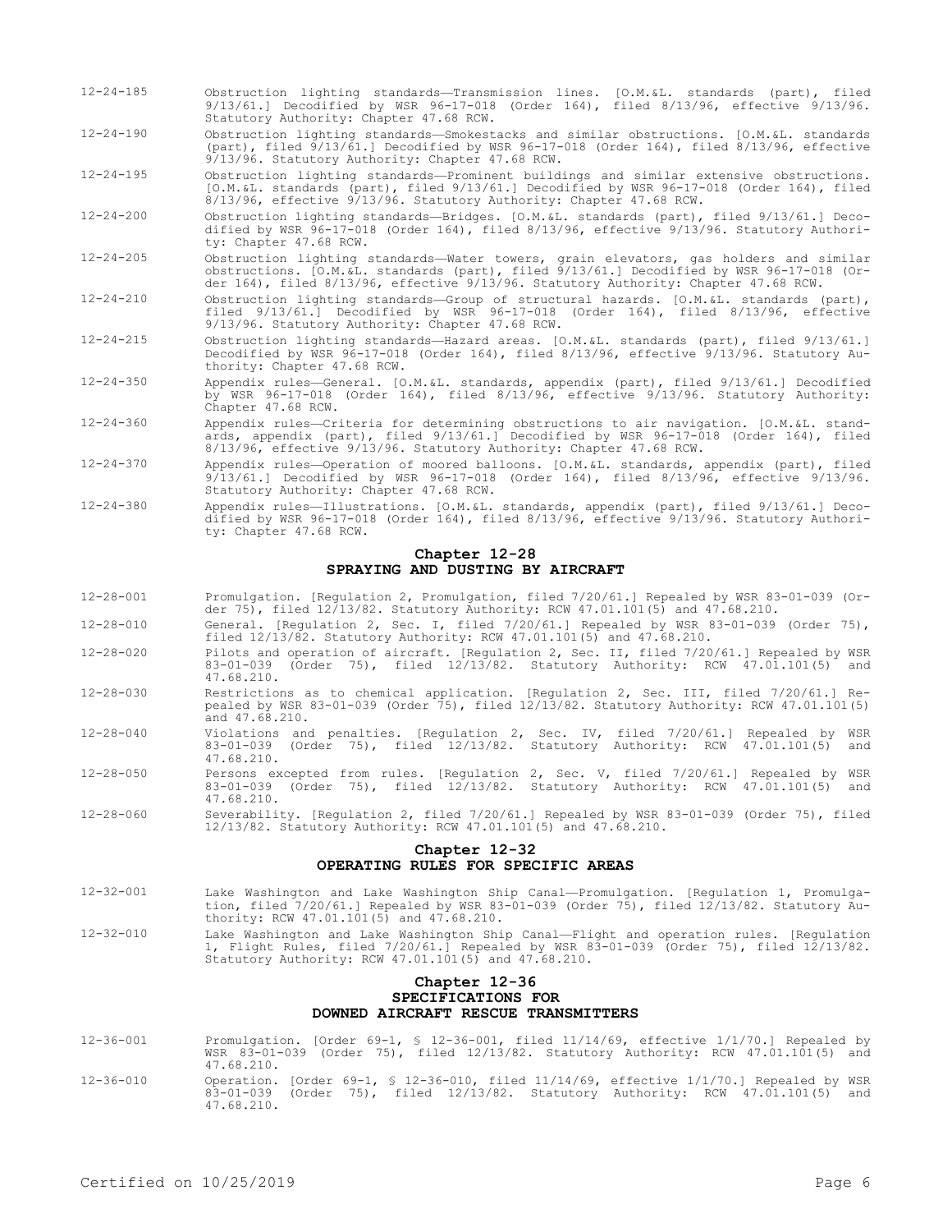- 12-24-185 Obstruction lighting standards—Transmission lines. [O.M.&L. standards (part), filed 9/13/61.] Decodified by WSR 96-17-018 (Order 164), filed 8/13/96, effective 9/13/96. Statutory Authority: Chapter 47.68 RCW.
- 12-24-190 Obstruction lighting standards—Smokestacks and similar obstructions. [O.M.&L. standards (part), filed 9/13/61.] Decodified by WSR 96-17-018 (Order 164), filed 8/13/96, effective 9/13/96. Statutory Authority: Chapter 47.68 RCW.
- 12-24-195 Obstruction lighting standards—Prominent buildings and similar extensive obstructions. [O.M.&L. standards (part), filed 9/13/61.] Decodified by WSR 96-17-018 (Order 164), filed 8/13/96, effective 9/13/96. Statutory Authority: Chapter 47.68 RCW.
- 12-24-200 Obstruction lighting standards—Bridges. [O.M.&L. standards (part), filed 9/13/61.] Decodified by WSR 96-17-018 (Order 164), filed 8/13/96, effective 9/13/96. Statutory Authority: Chapter 47.68 RCW.
- 12-24-205 Obstruction lighting standards—Water towers, grain elevators, gas holders and similar obstructions. [O.M.&L. standards (part), filed 9/13/61.] Decodified by WSR 96-17-018 (Order 164), filed 8/13/96, effective 9/13/96. Statutory Authority: Chapter 47.68 RCW.
- 12-24-210 Obstruction lighting standards—Group of structural hazards. [O.M.&L. standards (part), filed 9/13/61.] Decodified by WSR 96-17-018 (Order 164), filed 8/13/96, effective 9/13/96. Statutory Authority: Chapter 47.68 RCW.
- 12-24-215 Obstruction lighting standards—Hazard areas. [O.M.&L. standards (part), filed 9/13/61.] Decodified by WSR 96-17-018 (Order 164), filed 8/13/96, effective 9/13/96. Statutory Authority: Chapter 47.68 RCW.
- 12-24-350 Appendix rules—General. [O.M.&L. standards, appendix (part), filed 9/13/61.] Decodified by WSR 96-17-018 (Order 164), filed 8/13/96, effective 9/13/96. Statutory Authority: Chapter 47.68 RCW.
- 12-24-360 Appendix rules—Criteria for determining obstructions to air navigation. [O.M.&L. standards, appendix (part), filed 9/13/61.] Decodified by WSR 96-17-018 (Order 164), filed 8/13/96, effective 9/13/96. Statutory Authority: Chapter 47.68 RCW.
- 12-24-370 Appendix rules—Operation of moored balloons. [O.M.&L. standards, appendix (part), filed 9/13/61.] Decodified by WSR 96-17-018 (Order 164), filed 8/13/96, effective 9/13/96. Statutory Authority: Chapter 47.68 RCW.
- 12-24-380 Appendix rules—Illustrations. [O.M.&L. standards, appendix (part), filed 9/13/61.] Decodified by WSR 96-17-018 (Order 164), filed 8/13/96, effective 9/13/96. Statutory Authority: Chapter 47.68 RCW.

## **Chapter 12-28 SPRAYING AND DUSTING BY AIRCRAFT**

- 12-28-001 Promulgation. [Regulation 2, Promulgation, filed 7/20/61.] Repealed by WSR 83-01-039 (Order 75), filed 12/13/82. Statutory Authority: RCW 47.01.101(5) and 47.68.210.
- 12-28-010 General. [Regulation 2, Sec. I, filed 7/20/61.] Repealed by WSR 83-01-039 (Order 75), filed  $12/13/82$ . Statutory Authority: RCW  $47.01.101(5)$  and  $47.68.210$ .
- 12-28-020 Pilots and operation of aircraft. [Regulation 2, Sec. II, filed 7/20/61.] Repealed by WSR<br>83-01-039 (Order 75), filed 12/13/82 Statutory Authority: RCW 47.01.101(5) and 83-01-039 (Order 75), filed  $12/13/82$ . Statutory Authority: RCW  $47.01.101(5)$ 47.68.210.
- 12-28-030 Restrictions as to chemical application. [Regulation 2, Sec. III, filed 7/20/61.] Repealed by WSR 83-01-039 (Order 75), filed 12/13/82. Statutory Authority: RCW 47.01.101(5) and 47.68.210.
- 12-28-040 Violations and penalties. [Regulation 2, Sec. IV, filed 7/20/61.] Repealed by WSR 83-01-039 (Order 75), filed 12/13/82. Statutory Authority: RCW 47.01.101(5) and 47.68.210.
- 12-28-050 Persons excepted from rules. [Regulation 2, Sec. V, filed 7/20/61.] Repealed by WSR 83-01-039 (Order 75), filed 12/13/82. Statutory Authority: RCW 47.01.101(5) and 47.68.210.
- 12-28-060 Severability. [Regulation 2, filed 7/20/61.] Repealed by WSR 83-01-039 (Order 75), filed 12/13/82. Statutory Authority: RCW 47.01.101(5) and 47.68.210.

## **Chapter 12-32 OPERATING RULES FOR SPECIFIC AREAS**

- 12-32-001 Lake Washington and Lake Washington Ship Canal—Promulgation. [Regulation 1, Promulgation, filed 7/20/61.] Repealed by WSR 83-01-039 (Order 75), filed 12/13/82. Statutory Authority: RCW 47.01.101(5) and 47.68.210.
- 12-32-010 Lake Washington and Lake Washington Ship Canal—Flight and operation rules. [Regulation 1, Flight Rules, filed 7/20/61.] Repealed by WSR 83-01-039 (Order 75), filed 12/13/82. Statutory Authority: RCW 47.01.101(5) and 47.68.210.

## **Chapter 12-36 SPECIFICATIONS FOR DOWNED AIRCRAFT RESCUE TRANSMITTERS**

- 12-36-001 Promulgation. [Order 69-1, § 12-36-001, filed 11/14/69, effective 1/1/70.] Repealed by WSR 83-01-039 (Order 75), filed 12/13/82. Statutory Authority: RCW 47.01.101(5) and 47.68.210.
- 12-36-010 Operation. [Order 69-1, § 12-36-010, filed 11/14/69, effective 1/1/70.] Repealed by WSR 83-01-039 (Order 75), filed 12/13/82. Statutory Authority: RCW 47.01.101(5) and 47.68.210.